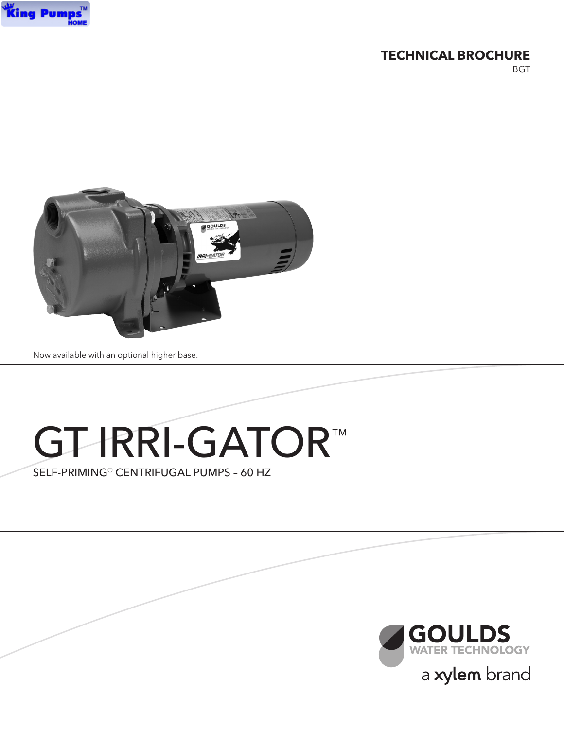

### **TECHNICAL BROCHURE**

**BGT** 



Now available with an optional higher base.

# GT-IRRI-GATOR™

SELF-PRIMING<sup>®</sup> CENTRIFUGAL PUMPS - 60 HZ

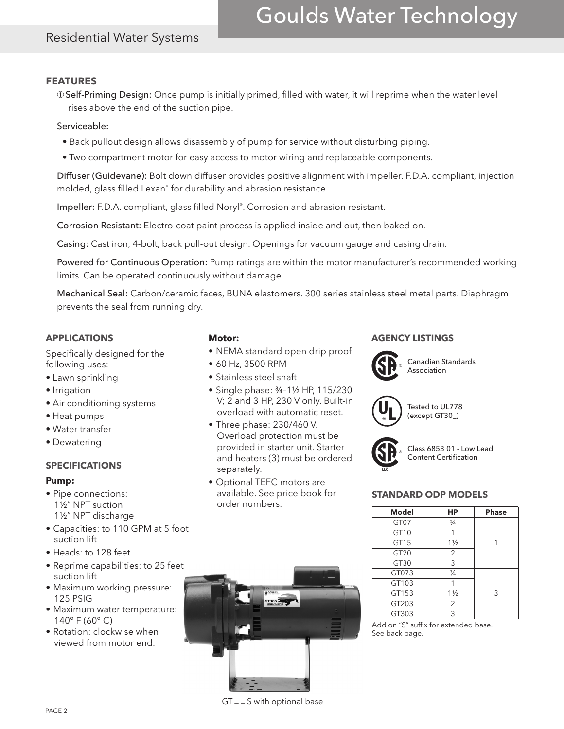# Goulds Water Technology

## Residential Water Systems

#### **FEATURES**

➀Self-Priming Design: Once pump is initially primed, filled with water, it will reprime when the water level rises above the end of the suction pipe.

#### Serviceable:

- Back pullout design allows disassembly of pump for service without disturbing piping.
- Two compartment motor for easy access to motor wiring and replaceable components.

Diffuser (Guidevane): Bolt down diffuser provides positive alignment with impeller. F.D.A. compliant, injection molded, glass filled Lexan® for durability and abrasion resistance.

Impeller: F.D.A. compliant, glass filled Noryl®. Corrosion and abrasion resistant.

Corrosion Resistant: Electro-coat paint process is applied inside and out, then baked on.

Casing: Cast iron, 4-bolt, back pull-out design. Openings for vacuum gauge and casing drain.

Powered for Continuous Operation: Pump ratings are within the motor manufacturer's recommended working limits. Can be operated continuously without damage.

Mechanical Seal: Carbon/ceramic faces, BUNA elastomers. 300 series stainless steel metal parts. Diaphragm prevents the seal from running dry.

#### **APPLICATIONS**

Specifically designed for the following uses:

- Lawn sprinkling
- Irrigation
- Air conditioning systems
- Heat pumps
- Water transfer
- Dewatering

#### **SPECIFICATIONS**

#### **Pump:**

- Pipe connections: 1½" NPT suction 1½" NPT discharge
- Capacities: to 110 GPM at 5 foot suction lift
- Heads: to 128 feet
- Reprime capabilities: to 25 feet suction lift
- Maximum working pressure: 125 PSIG
- Maximum water temperature: 140° F (60° C)
- Rotation: clockwise when viewed from motor end.

#### **Motor:**

- NEMA standard open drip proof
- 60 Hz, 3500 RPM
- Stainless steel shaft
- Single phase: ¾–1½ HP, 115/230 V; 2 and 3 HP, 230 V only. Built-in overload with automatic reset.
- Three phase: 230/460 V. Overload protection must be provided in starter unit. Starter and heaters (3) must be ordered separately.
- Optional TEFC motors are available. See price book for order numbers.



#### **AGENCY LISTINGS**



Canadian Standards Association



Tested to UL778 (except GT30\_)



Class 6853 01 - Low Lead Content Certification

#### **STANDARD ODP MODELS**

| <b>Model</b>     | НP             | <b>Phase</b> |
|------------------|----------------|--------------|
| GT07             | $\frac{3}{4}$  |              |
| GT <sub>10</sub> |                |              |
| GT <sub>15</sub> | $1\frac{1}{2}$ |              |
| GT20             | 2              |              |
| GT <sub>30</sub> | 3              |              |
| GT073            | $\frac{3}{4}$  |              |
| GT103            | 1              |              |
| GT153            | $1\frac{1}{2}$ | 3            |
| GT203            | 2              |              |
| GT303            | 3              |              |

Add on "S" suffix for extended base. See back page.

GT \_ \_ S with optional base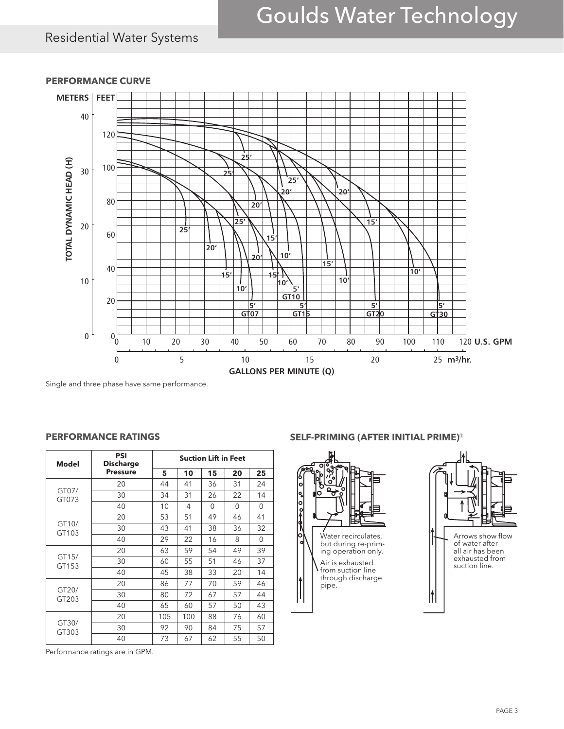# Goulds Water Technology

## Residential Water Systems



#### **PERFORMANCE CURVE**

Single and three phase have same performance.

#### **PSI Suction Lift in Feet Model Discharge Pressure 5 10 15 20 25** GT07/ 20 44 41 36 31 24 GT073 30 34 31 26 22 14 40 | 10 | 4 | 0 | 0 | 0 GT10/ 20 53 51 49 46 41 GT103 30 43 41 38 36 32 40 | 29 | 22 | 16 | 8 | 0 GT15/ 20 63 59 54 49 39 GT153 30 60 55 51 46 37 40 45 38 33 20 14 GT20/ 20 86 77 70 59 46 GT203 30 80 72 67 57 44 40 65 60 57 50 43 GT30/ 20 105 100 88 76 60 GT303 30 92 90 84 75 57 40 73 67 62 55 50

#### **PERFORMANCE RATINGS**

#### **SELF-PRIMING (AFTER INITIAL PRIME)**➀





Performance ratings are in GPM.